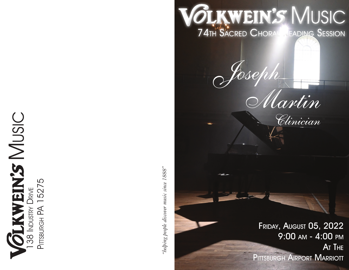**OLKWEIN'S MUSIC**<br>38 INDUSTRY DRIVE PITTSBURGH PA 1

'helping people discover music since 1888"

**OLKWEIN'S MUSIC 74TH SACRED CHORAL FADING SESSION** 

irtin

Clinician

FRIDAY, AUGUST 05, 2022

PITTSBURGH AIRPORT MARRIOTT

9:00 AM - 4:00 PM

AT THE